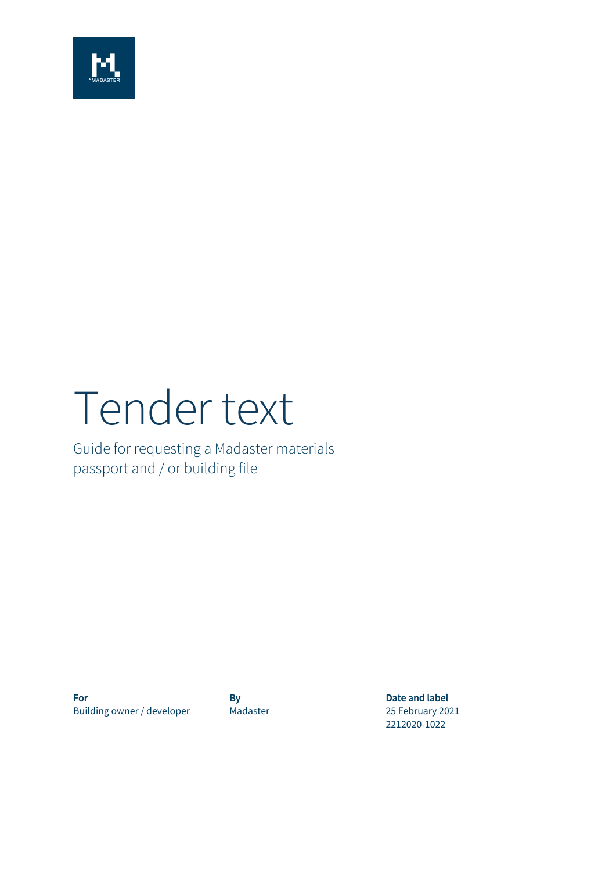

# Tender text

Guide for requesting a Madaster materials passport and / or building file

For By By Date and label Building owner / developer Madaster Madaster 25 February 2021

2212020-1022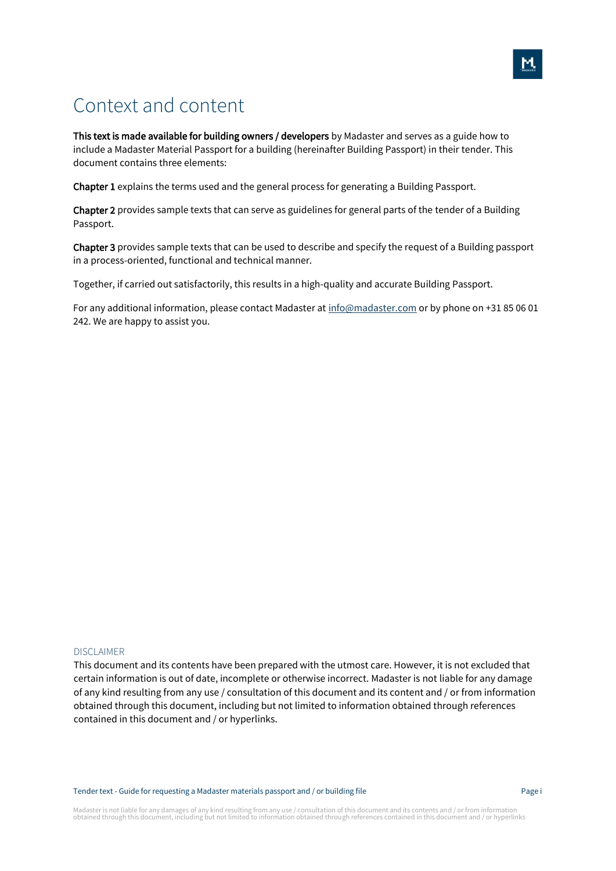# Context and content

This text is made available for building owners / developers by Madaster and serves as a guide how to include a Madaster Material Passport for a building (hereinafter Building Passport) in their tender. This document contains three elements:

Chapter 1 explains the terms used and the general process for generating a Building Passport.

Chapter 2 provides sample texts that can serve as guidelines for general parts of the tender of a Building Passport.

Chapter 3 provides sample texts that can be used to describe and specify the request of a Building passport in a process-oriented, functional and technical manner.

Together, if carried out satisfactorily, this results in a high-quality and accurate Building Passport.

For any additional information, please contact Madaster at  $info@madaster.com$  or by phone on +31 85 06 01 242. We are happy to assist you.

#### DISCLAIMER

This document and its contents have been prepared with the utmost care. However, it is not excluded that certain information is out of date, incomplete or otherwise incorrect. Madaster is not liable for any damage of any kind resulting from any use / consultation of this document and its content and / or from information obtained through this document, including but not limited to information obtained through references contained in this document and / or hyperlinks.

Madaster is not liable for any damages of any kind resulting from any use / consultation of this document and its contents and / or from information<br>obtained through this document, including but not limited to information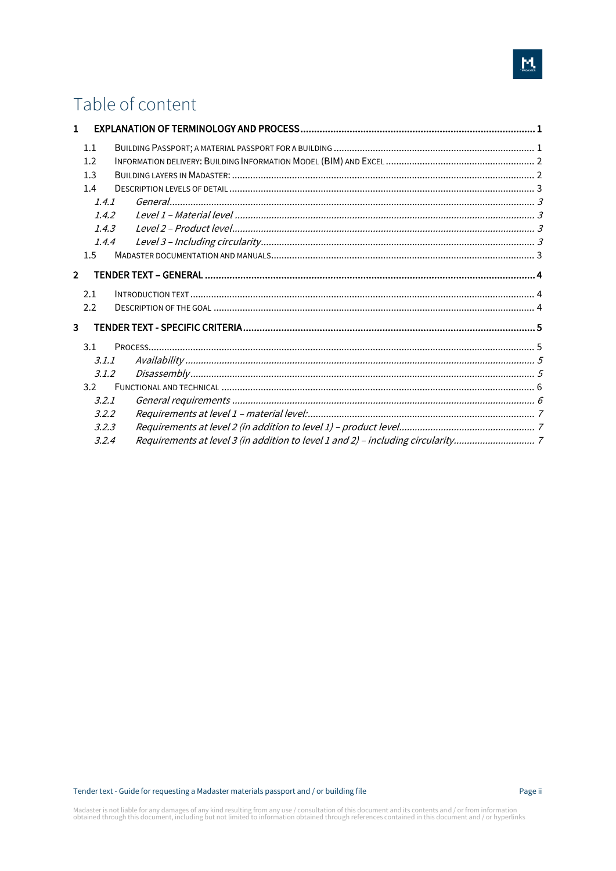# Table of content

| $\mathbf{1}$   |       |                                                                                |  |  |
|----------------|-------|--------------------------------------------------------------------------------|--|--|
|                | 1.1   |                                                                                |  |  |
|                | 1.2   |                                                                                |  |  |
|                | 1.3   |                                                                                |  |  |
|                | 1.4   |                                                                                |  |  |
|                | 1.4.1 |                                                                                |  |  |
|                | 1.4.2 |                                                                                |  |  |
|                | 1.4.3 |                                                                                |  |  |
|                | 1.4.4 |                                                                                |  |  |
|                | 1.5   |                                                                                |  |  |
| $\overline{2}$ |       |                                                                                |  |  |
|                | 2.1   |                                                                                |  |  |
|                | 2.2   |                                                                                |  |  |
| $\mathbf{3}$   |       |                                                                                |  |  |
|                | 3.1   |                                                                                |  |  |
|                | 3.1.1 |                                                                                |  |  |
|                | 3.1.2 |                                                                                |  |  |
|                | 3.2   |                                                                                |  |  |
|                | 3.2.1 |                                                                                |  |  |
|                | 3.2.2 |                                                                                |  |  |
|                | 3.2.3 |                                                                                |  |  |
|                | 3.2.4 | Requirements at level 3 (in addition to level 1 and 2) - including circularity |  |  |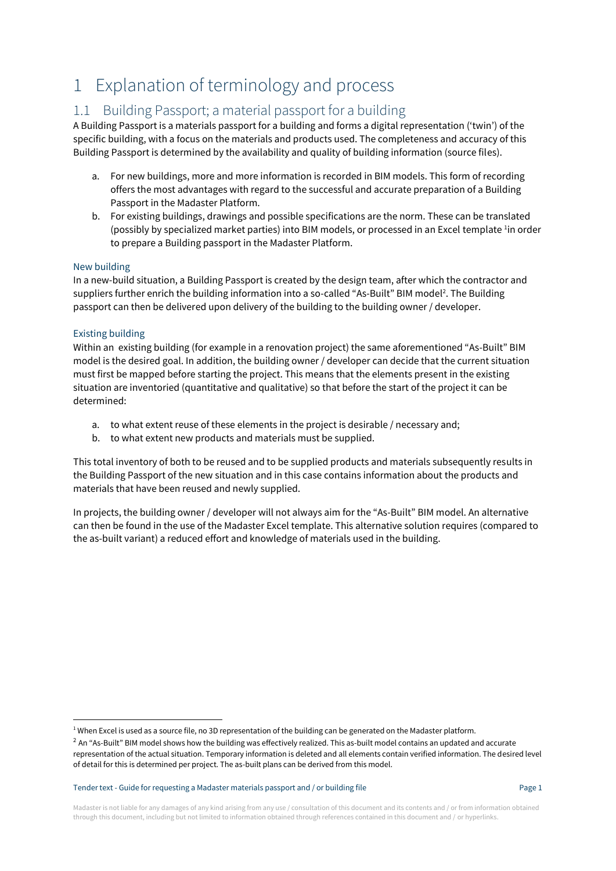# <span id="page-3-0"></span>1 Explanation of terminology and process

### <span id="page-3-1"></span>1.1 Building Passport; a material passport for a building

A Building Passport is a materials passport for a building and forms a digital representation ('twin') of the specific building, with a focus on the materials and products used. The completeness and accuracy of this Building Passport is determined by the availability and quality of building information (source files).

- a. For new buildings, more and more information is recorded in BIM models. This form of recording offers the most advantages with regard to the successful and accurate preparation of a Building Passport in the Madaster Platform.
- b. For existing buildings, drawings and possible specifications are the norm. These can be translated (possibly by specialized market parties) into BIM models, or processed in an Excel template <sup>1</sup>in order to prepare a Building passport in the Madaster Platform.

### New building

In a new-build situation, a Building Passport is created by the design team, after which the contractor and suppliers further enrich the building information into a so-called "As-Built" BIM model<sup>2</sup>. The Building passport can then be delivered upon delivery of the building to the building owner / developer.

### Existing building

Within an existing building (for example in a renovation project) the same aforementioned "As-Built" BIM model is the desired goal. In addition, the building owner / developer can decide that the current situation must first be mapped before starting the project. This means that the elements present in the existing situation are inventoried (quantitative and qualitative) so that before the start of the project it can be determined:

- a. to what extent reuse of these elements in the project is desirable / necessary and;
- b. to what extent new products and materials must be supplied.

This total inventory of both to be reused and to be supplied products and materials subsequently results in the Building Passport of the new situation and in this case contains information about the products and materials that have been reused and newly supplied.

In projects, the building owner / developer will not always aim for the "As-Built" BIM model. An alternative can then be found in the use of the Madaster Excel template. This alternative solution requires (compared to the as-built variant) a reduced effort and knowledge of materials used in the building.

Tender text - Guide for requesting a Madaster materials passport and / or building file Page 1

 $1$  When Excel is used as a source file, no 3D representation of the building can be generated on the Madaster platform.

 $^2$  An "As-Built" BIM model shows how the building was effectively realized. This as-built model contains an updated and accurate representation of the actual situation. Temporary information is deleted and all elements contain verified information. The desired level of detail for this is determined per project. The as-built plans can be derived from this model.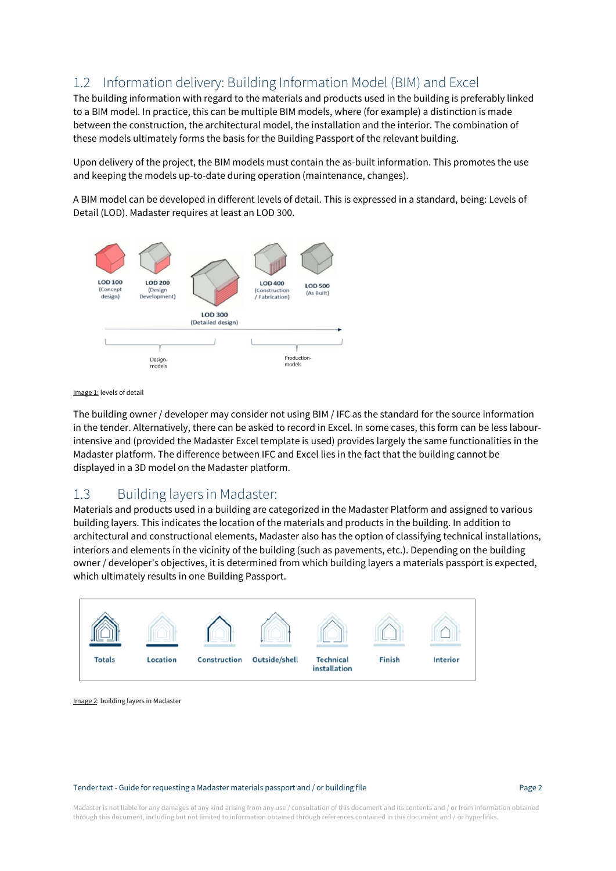# <span id="page-4-0"></span>1.2 Information delivery: Building Information Model (BIM) and Excel

The building information with regard to the materials and products used in the building is preferably linked to a BIM model. In practice, this can be multiple BIM models, where (for example) a distinction is made between the construction, the architectural model, the installation and the interior. The combination of these models ultimately forms the basis for the Building Passport of the relevant building.

Upon delivery of the project, the BIM models must contain the as-built information. This promotes the use and keeping the models up-to-date during operation (maintenance, changes).

A BIM model can be developed in different levels of detail. This is expressed in a standard, being: Levels of Detail (LOD). Madaster requires at least an LOD 300.



Image 1: levels of detail

The building owner / developer may consider not using BIM / IFC as the standard for the source information in the tender. Alternatively, there can be asked to record in Excel. In some cases, this form can be less labourintensive and (provided the Madaster Excel template is used) provides largely the same functionalities in the Madaster platform. The difference between IFC and Excel lies in the fact that the building cannot be displayed in a 3D model on the Madaster platform.

### <span id="page-4-1"></span>1.3 Building layers in Madaster:

Materials and products used in a building are categorized in the Madaster Platform and assigned to various building layers. This indicates the location of the materials and products in the building. In addition to architectural and constructional elements, Madaster also has the option of classifying technical installations, interiors and elements in the vicinity of the building (such as pavements, etc.). Depending on the building owner / developer's objectives, it is determined from which building layers a materials passport is expected, which ultimately results in one Building Passport.



Image 2: building layers in Madaster

#### Tender text - Guide for requesting a Madaster materials passport and / or building file Page 2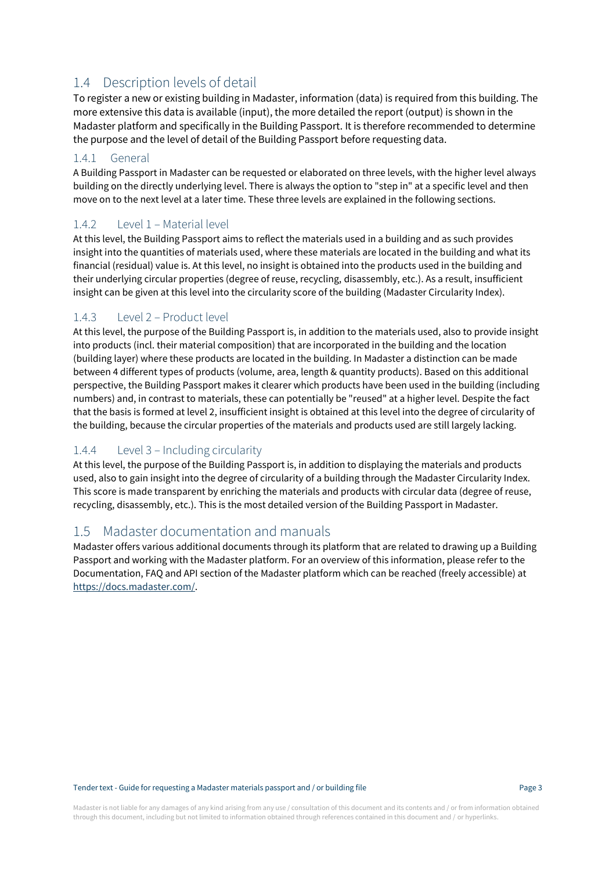### <span id="page-5-0"></span>1.4 Description levels of detail

To register a new or existing building in Madaster, information (data) is required from this building. The more extensive this data is available (input), the more detailed the report (output) is shown in the Madaster platform and specifically in the Building Passport. It is therefore recommended to determine the purpose and the level of detail of the Building Passport before requesting data.

### <span id="page-5-1"></span>1.4.1 General

A Building Passport in Madaster can be requested or elaborated on three levels, with the higher level always building on the directly underlying level. There is always the option to "step in" at a specific level and then move on to the next level at a later time. These three levels are explained in the following sections.

### <span id="page-5-2"></span>1.4.2 Level 1 – Material level

At this level, the Building Passport aims to reflect the materials used in a building and as such provides insight into the quantities of materials used, where these materials are located in the building and what its financial (residual) value is. At this level, no insight is obtained into the products used in the building and their underlying circular properties (degree of reuse, recycling, disassembly, etc.). As a result, insufficient insight can be given at this level into the circularity score of the building (Madaster Circularity Index).

### <span id="page-5-3"></span>1.4.3 Level 2 – Product level

At this level, the purpose of the Building Passport is, in addition to the materials used, also to provide insight into products (incl. their material composition) that are incorporated in the building and the location (building layer) where these products are located in the building. In Madaster a distinction can be made between 4 different types of products (volume, area, length & quantity products). Based on this additional perspective, the Building Passport makes it clearer which products have been used in the building (including numbers) and, in contrast to materials, these can potentially be "reused" at a higher level. Despite the fact that the basis is formed at level 2, insufficient insight is obtained at this level into the degree of circularity of the building, because the circular properties of the materials and products used are still largely lacking.

### <span id="page-5-4"></span>1.4.4 Level 3 – Including circularity

At this level, the purpose of the Building Passport is, in addition to displaying the materials and products used, also to gain insight into the degree of circularity of a building through the Madaster Circularity Index. This score is made transparent by enriching the materials and products with circular data (degree of reuse, recycling, disassembly, etc.). This is the most detailed version of the Building Passport in Madaster.

### <span id="page-5-5"></span>1.5 Madaster documentation and manuals

Madaster offers various additional documents through its platform that are related to drawing up a Building Passport and working with the Madaster platform. For an overview of this information, please refer to the Documentation, FAQ and API section of the Madaster platform which can be reached (freely accessible) at [https://docs.madaster.com/.](https://docs.madaster.com/)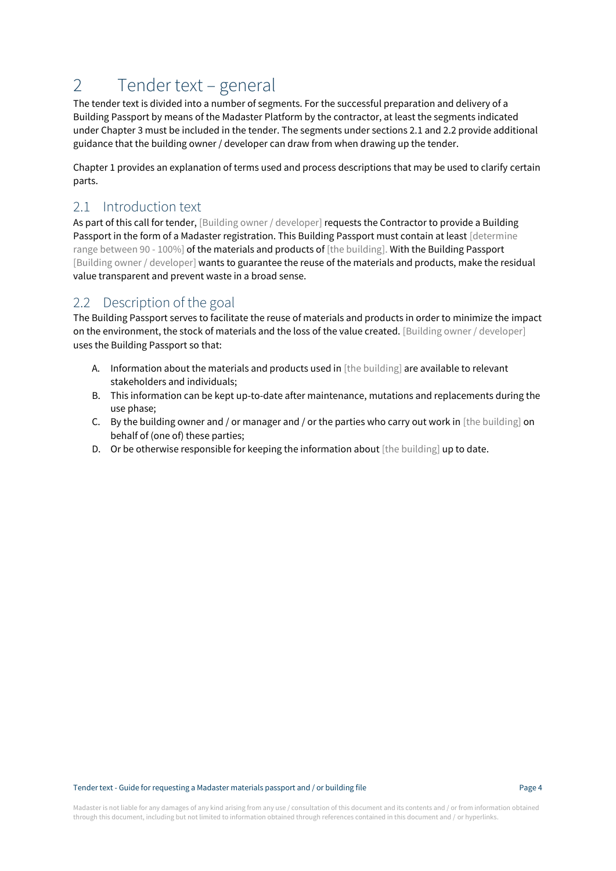# <span id="page-6-0"></span>2 Tender text – general

The tender text is divided into a number of segments. For the successful preparation and delivery of a Building Passport by means of the Madaster Platform by the contractor, at least the segments indicated under Chapter 3 must be included in the tender. The segments under sections 2.1 and 2.2 provide additional guidance that the building owner / developer can draw from when drawing up the tender.

Chapter 1 provides an explanation of terms used and process descriptions that may be used to clarify certain parts.

### <span id="page-6-1"></span>2.1 Introduction text

As part of this call for tender, [Building owner / developer] requests the Contractor to provide a Building Passport in the form of a Madaster registration. This Building Passport must contain at least [determine range between 90 - 100%] of the materials and products of [the building]. With the Building Passport [Building owner / developer] wants to guarantee the reuse of the materials and products, make the residual value transparent and prevent waste in a broad sense.

# <span id="page-6-2"></span>2.2 Description of the goal

The Building Passport serves to facilitate the reuse of materials and products in order to minimize the impact on the environment, the stock of materials and the loss of the value created. [Building owner / developer] uses the Building Passport so that:

- A. Information about the materials and products used in [the building] are available to relevant stakeholders and individuals;
- B. This information can be kept up-to-date after maintenance, mutations and replacements during the use phase;
- C. By the building owner and / or manager and / or the parties who carry out work in [the building] on behalf of (one of) these parties;
- D. Or be otherwise responsible for keeping the information about [the building] up to date.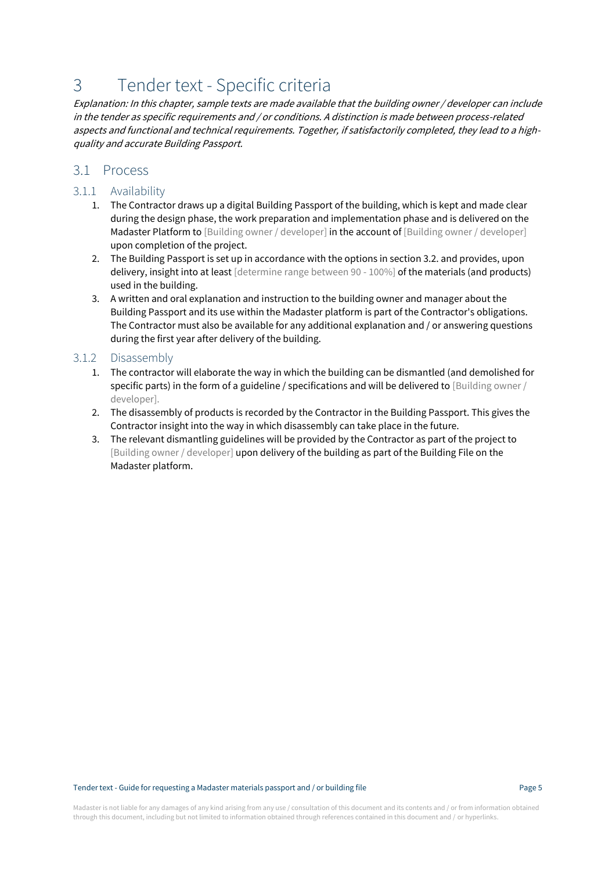# <span id="page-7-0"></span>3 Tender text - Specific criteria

Explanation: In this chapter, sample texts are made available that the building owner / developer can include in the tender as specific requirements and / or conditions. A distinction is made between process-related aspects and functional and technical requirements. Together, if satisfactorily completed, they lead to a highquality and accurate Building Passport.

### <span id="page-7-1"></span>3.1 Process

### <span id="page-7-2"></span>3.1.1 Availability

- 1. The Contractor draws up a digital Building Passport of the building, which is kept and made clear during the design phase, the work preparation and implementation phase and is delivered on the Madaster Platform to [Building owner / developer] in the account of [Building owner / developer] upon completion of the project.
- 2. The Building Passport is set up in accordance with the options in section 3.2. and provides, upon delivery, insight into at least [determine range between 90 - 100%] of the materials (and products) used in the building.
- 3. A written and oral explanation and instruction to the building owner and manager about the Building Passport and its use within the Madaster platform is part of the Contractor's obligations. The Contractor must also be available for any additional explanation and / or answering questions during the first year after delivery of the building.

### <span id="page-7-3"></span>3.1.2 Disassembly

- 1. The contractor will elaborate the way in which the building can be dismantled (and demolished for specific parts) in the form of a guideline / specifications and will be delivered to [Building owner / developer].
- 2. The disassembly of products is recorded by the Contractor in the Building Passport. This gives the Contractor insight into the way in which disassembly can take place in the future.
- 3. The relevant dismantling guidelines will be provided by the Contractor as part of the project to [Building owner / developer] upon delivery of the building as part of the Building File on the Madaster platform.

#### Tender text - Guide for requesting a Madaster materials passport and / or building file Page 5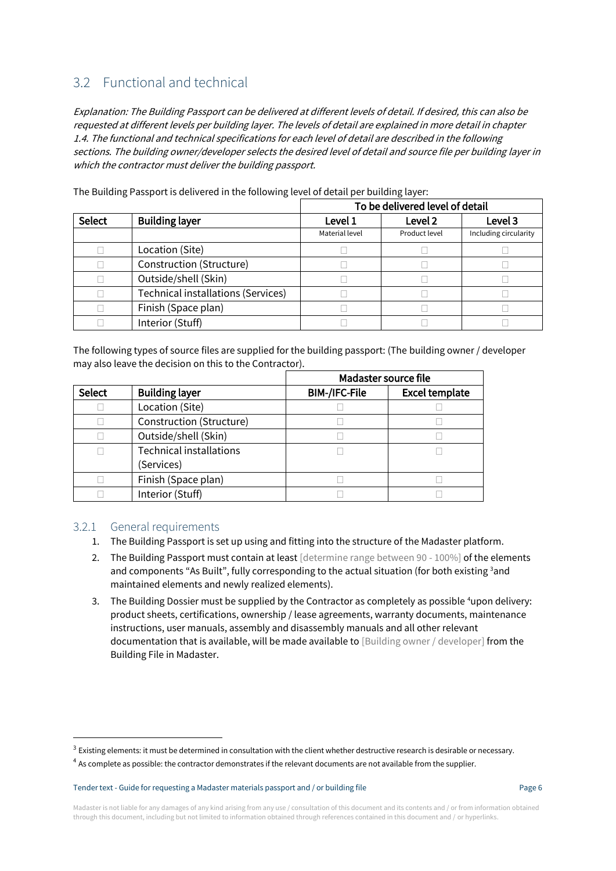# <span id="page-8-0"></span>3.2 Functional and technical

Explanation: The Building Passport can be delivered at different levels of detail. If desired, this can also be requested at different levels per building layer. The levels of detail are explained in more detail in chapter 1.4. The functional and technical specifications for each level of detail are described in the following sections. The building owner/developer selects the desired level of detail and source file per building layer in which the contractor must deliver the building passport.

|               |                                    | To be delivered level of detail |               |                       |
|---------------|------------------------------------|---------------------------------|---------------|-----------------------|
| <b>Select</b> | <b>Building layer</b>              | Level 1                         | Level 2       | Level 3               |
|               |                                    | Material level                  | Product level | Including circularity |
|               | Location (Site)                    |                                 |               |                       |
|               | Construction (Structure)           |                                 |               |                       |
|               | Outside/shell (Skin)               |                                 |               |                       |
|               | Technical installations (Services) |                                 |               |                       |
|               | Finish (Space plan)                |                                 |               |                       |
|               | Interior (Stuff)                   |                                 |               |                       |

The Building Passport is delivered in the following level of detail per building layer:

The following types of source files are supplied for the building passport: (The building owner / developer may also leave the decision on this to the Contractor).

|               |                                | Madaster source file |                       |  |  |
|---------------|--------------------------------|----------------------|-----------------------|--|--|
| <b>Select</b> | <b>Building layer</b>          | <b>BIM-/IFC-File</b> | <b>Excel template</b> |  |  |
|               | Location (Site)                |                      |                       |  |  |
|               | Construction (Structure)       |                      |                       |  |  |
|               | Outside/shell (Skin)           |                      |                       |  |  |
|               | <b>Technical installations</b> |                      |                       |  |  |
|               | (Services)                     |                      |                       |  |  |
|               | Finish (Space plan)            |                      |                       |  |  |
|               | Interior (Stuff)               |                      |                       |  |  |

### <span id="page-8-1"></span>3.2.1 General requirements

- 1. The Building Passport is set up using and fitting into the structure of the Madaster platform.
- 2. The Building Passport must contain at least [determine range between 90 100%] of the elements and components "As Built", fully corresponding to the actual situation (for both existing 3 and maintained elements and newly realized elements).
- 3. The Building Dossier must be supplied by the Contractor as completely as possible <sup>4</sup>upon delivery: product sheets, certifications, ownership / lease agreements, warranty documents, maintenance instructions, user manuals, assembly and disassembly manuals and all other relevant documentation that is available, will be made available to [Building owner / developer] from the Building File in Madaster.

 $^3$  Existing elements: it must be determined in consultation with the client whether destructive research is desirable or necessary.

<sup>&</sup>lt;sup>4</sup> As complete as possible: the contractor demonstrates if the relevant documents are not available from the supplier.

Tender text - Guide for requesting a Madaster materials passport and / or building file Page 6

Madaster is not liable for any damages of any kind arising from any use / consultation of this document and its contents and / or from information obtained through this document, including but not limited to information obtained through references contained in this document and / or hyperlinks.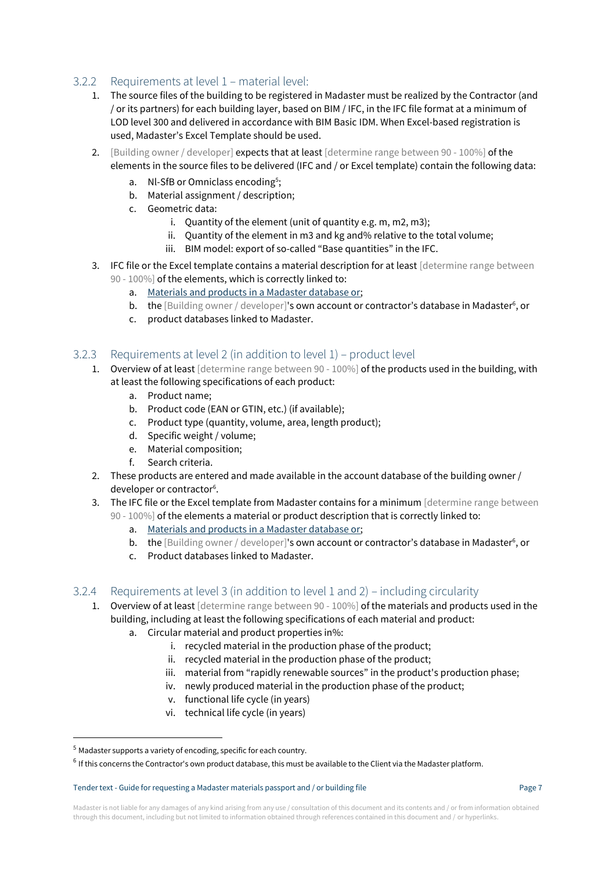### <span id="page-9-0"></span>3.2.2 Requirements at level 1 – material level:

- 1. The source files of the building to be registered in Madaster must be realized by the Contractor (and / or its partners) for each building layer, based on BIM / IFC, in the IFC file format at a minimum of LOD level 300 and delivered in accordance with BIM Basic IDM. When Excel-based registration is used, Madaster's Excel Template should be used.
- 2. [Building owner / developer] expects that at least [determine range between 90 100%] of the elements in the source files to be delivered (IFC and / or Excel template) contain the following data:
	- a. NI-SfB or Omniclass encoding<sup>5</sup>;
	- b. Material assignment / description;
	- c. Geometric data:
		- i. Quantity of the element (unit of quantity e.g. m, m2, m3);
		- ii. Quantity of the element in m3 and kg and% relative to the total volume;
		- iii. BIM model: export of so-called "Base quantities" in the IFC.
- <span id="page-9-3"></span>3. IFC file or the Excel template contains a material description for at least [determine range between 90 - 100%] of the elements, which is correctly linked to:
	- a. [Materials and products in a Madaster database or;](https://docs.madaster.com/files/Madaster%20Materiaal%20Lijst%202019%20NL%20UK.xlsx)
	- b. the [Building owner / developer]'s own account or contractor's database in Madaster<sup>6</sup>, or
	- c. product databases linked to Madaster.

### <span id="page-9-1"></span>3.2.3 Requirements at level 2 (in addition to level 1) – product level

- 1. Overview of at least [determine range between 90 100%] of the products used in the building, with at least the following specifications of each product:
	- a. Product name;
	- b. Product code (EAN or GTIN, etc.) (if available);
	- c. Product type (quantity, volume, area, length product);
	- d. Specific weight / volume;
	- e. Material composition;
	- f. Search criteria.
- 2. These products are entered and made available in the account database of the building owner / developer or contractor<sup>6</sup>[.](#page-9-3)
- 3. The IFC file or the Excel template from Madaster contains for a minimum [determine range between
	- 90 100%] of the elements a material or product description that is correctly linked to:
		- a. [Materials and products in a Madaster database or;](https://docs.madaster.com/files/Madaster%20Materiaal%20Lijst%202019%20NL%20UK.xlsx)
		- b. the [Building owner / developer]'s own account or contractor's database in Madaster<sup>6</sup>[,](#page-9-3) or
		- c. Product databases linked to Madaster.

### <span id="page-9-2"></span>3.2.4 Requirements at level 3 (in addition to level 1 and 2) – including circularity

- 1. Overview of at least [determine range between 90 100%] of the materials and products used in the building, including at least the following specifications of each material and product:
	- a. Circular material and product properties in%:
		- i. recycled material in the production phase of the product;
		- ii. recycled material in the production phase of the product;
		- iii. material from "rapidly renewable sources" in the product's production phase;
		- iv. newly produced material in the production phase of the product;
		- v. functional life cycle (in years)
		- vi. technical life cycle (in years)

#### Tender text - Guide for requesting a Madaster materials passport and / or building file Page 7

<sup>5</sup> Madaster supports a variety of encoding, specific for each country.

<sup>&</sup>lt;sup>6</sup> If this concerns the Contractor's own product database, this must be available to the Client via the Madaster platform.